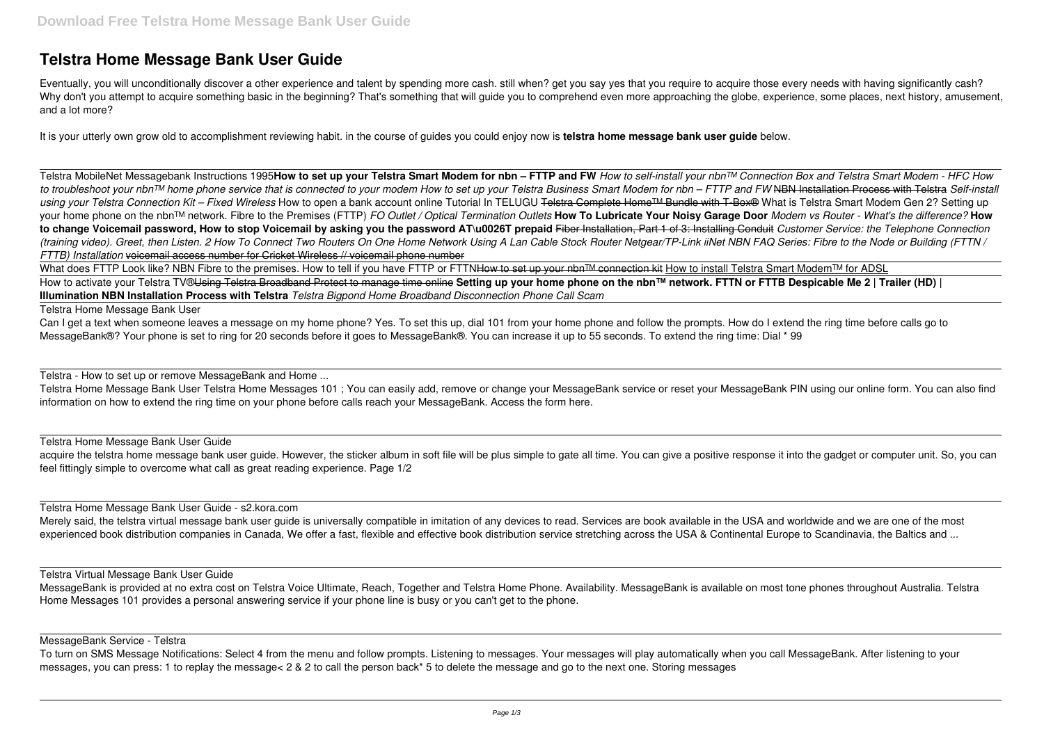# **Telstra Home Message Bank User Guide**

Eventually, you will unconditionally discover a other experience and talent by spending more cash. still when? get you say yes that you require to acquire those every needs with having significantly cash? Why don't you attempt to acquire something basic in the beginning? That's something that will guide you to comprehend even more approaching the globe, experience, some places, next history, amusement, and a lot more?

It is your utterly own grow old to accomplishment reviewing habit. in the course of guides you could enjoy now is **telstra home message bank user guide** below.

What does FTTP Look like? NBN Fibre to the premises. How to tell if you have FTTP or FTTNHow to set up your nbn™ connection kit How to install Telstra Smart Modem™ for ADSL How to activate your Telstra TV®Using Telstra Broadband Protect to manage time online **Setting up your home phone on the nbn™ network. FTTN or FTTB Despicable Me 2 | Trailer (HD) | Illumination NBN Installation Process with Telstra** *Telstra Bigpond Home Broadband Disconnection Phone Call Scam*

Telstra MobileNet Messagebank Instructions 1995**How to set up your Telstra Smart Modem for nbn – FTTP and FW** *How to self-install your nbn™ Connection Box and Telstra Smart Modem - HFC How to troubleshoot your nbn™ home phone service that is connected to your modem How to set up your Telstra Business Smart Modem for nbn – FTTP and FW* NBN Installation Process with Telstra *Self-install* using your Telstra Connection Kit – Fixed Wireless How to open a bank account online Tutorial In TELUGU <del>Telstra Complete Home™ Bundle with T-Box®</del> What is Telstra Smart Modem Gen 2? Setting up your home phone on the nbn™ network. Fibre to the Premises (FTTP) *FO Outlet / Optical Termination Outlets* **How To Lubricate Your Noisy Garage Door** *Modem vs Router - What's the difference?* **How to change Voicemail password, How to stop Voicemail by asking you the password AT\u0026T prepaid** Fiber Installation, Part 1 of 3: Installing Conduit *Customer Service: the Telephone Connection (training video). Greet, then Listen. 2 How To Connect Two Routers On One Home Network Using A Lan Cable Stock Router Netgear/TP-Link iiNet NBN FAQ Series: Fibre to the Node or Building (FTTN / FTTB) Installation* voicemail access number for Cricket Wireless // voicemail phone number

Can I get a text when someone leaves a message on my home phone? Yes. To set this up, dial 101 from your home phone and follow the prompts. How do I extend the ring time before calls go to MessageBank®? Your phone is set to ring for 20 seconds before it goes to MessageBank®. You can increase it up to 55 seconds. To extend the ring time: Dial \* 99

acquire the telstra home message bank user guide. However, the sticker album in soft file will be plus simple to gate all time. You can give a positive response it into the gadget or computer unit. So, you can feel fittingly simple to overcome what call as great reading experience. Page 1/2

Merely said, the telstra virtual message bank user guide is universally compatible in imitation of any devices to read. Services are book available in the USA and worldwide and we are one of the most experienced book distribution companies in Canada, We offer a fast, flexible and effective book distribution service stretching across the USA & Continental Europe to Scandinavia, the Baltics and ...

Telstra Home Message Bank User

Telstra - How to set up or remove MessageBank and Home ...

Telstra Home Message Bank User Telstra Home Messages 101 ; You can easily add, remove or change your MessageBank service or reset your MessageBank PIN using our online form. You can also find information on how to extend the ring time on your phone before calls reach your MessageBank. Access the form here.

Telstra Home Message Bank User Guide

Telstra Home Message Bank User Guide - s2.kora.com

## Telstra Virtual Message Bank User Guide

MessageBank is provided at no extra cost on Telstra Voice Ultimate, Reach, Together and Telstra Home Phone. Availability. MessageBank is available on most tone phones throughout Australia. Telstra Home Messages 101 provides a personal answering service if your phone line is busy or you can't get to the phone.

### MessageBank Service - Telstra

To turn on SMS Message Notifications: Select 4 from the menu and follow prompts. Listening to messages. Your messages will play automatically when you call MessageBank. After listening to your messages, you can press: 1 to replay the message< 2 & 2 to call the person back\* 5 to delete the message and go to the next one. Storing messages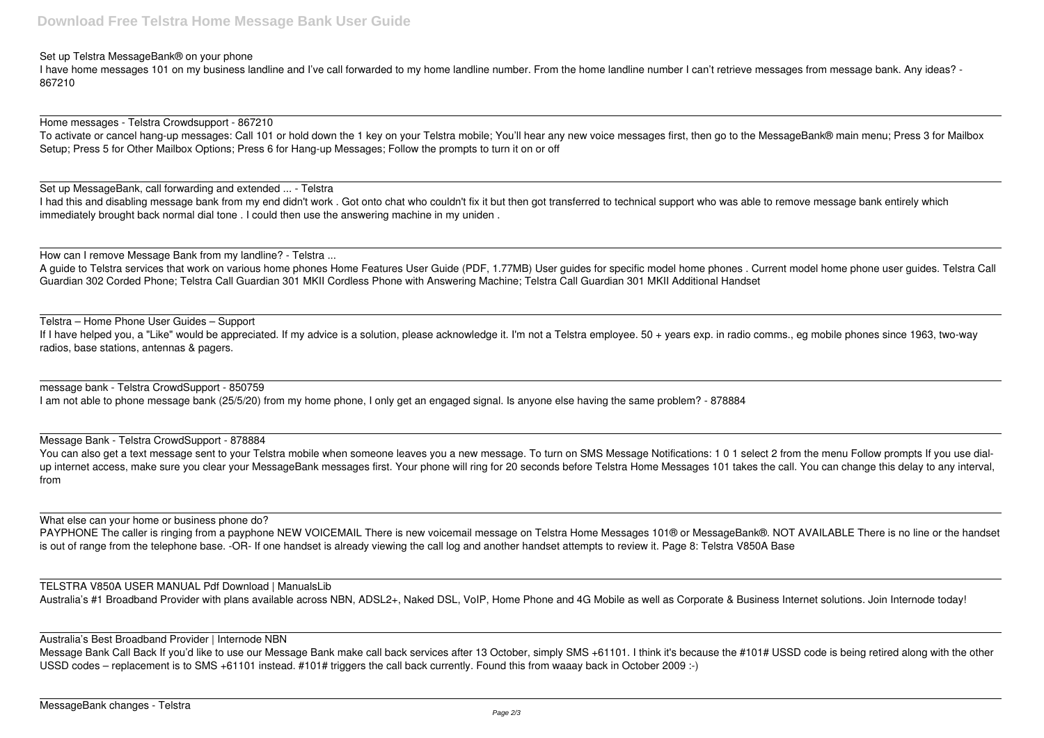Set up Telstra MessageBank® on your phone

I have home messages 101 on my business landline and I've call forwarded to my home landline number. From the home landline number I can't retrieve messages from message bank. Any ideas? - 867210

Home messages - Telstra Crowdsupport - 867210

To activate or cancel hang-up messages: Call 101 or hold down the 1 key on your Telstra mobile; You'll hear any new voice messages first, then go to the MessageBank® main menu; Press 3 for Mailbox Setup; Press 5 for Other Mailbox Options; Press 6 for Hang-up Messages; Follow the prompts to turn it on or off

I had this and disabling message bank from my end didn't work. Got onto chat who couldn't fix it but then got transferred to technical support who was able to remove message bank entirely which immediately brought back normal dial tone . I could then use the answering machine in my uniden .

Set up MessageBank, call forwarding and extended ... - Telstra

If I have helped you, a "Like" would be appreciated. If my advice is a solution, please acknowledge it. I'm not a Telstra employee. 50 + years exp. in radio comms., eg mobile phones since 1963, two-way radios, base stations, antennas & pagers.

How can I remove Message Bank from my landline? - Telstra ...

A guide to Telstra services that work on various home phones Home Features User Guide (PDF, 1.77MB) User guides for specific model home phones . Current model home phone user guides. Telstra Call Guardian 302 Corded Phone; Telstra Call Guardian 301 MKII Cordless Phone with Answering Machine; Telstra Call Guardian 301 MKII Additional Handset

TELSTRA V850A USER MANUAL Pdf Download | ManualsLib Australia's #1 Broadband Provider with plans available across NBN, ADSL2+, Naked DSL, VoIP, Home Phone and 4G Mobile as well as Corporate & Business Internet solutions. Join Internode today!

Telstra – Home Phone User Guides – Support

Message Bank Call Back If you'd like to use our Message Bank make call back services after 13 October, simply SMS +61101. I think it's because the #101# USSD code is being retired along with the other USSD codes – replacement is to SMS +61101 instead. #101# triggers the call back currently. Found this from waaay back in October 2009 :-)

message bank - Telstra CrowdSupport - 850759 I am not able to phone message bank (25/5/20) from my home phone, I only get an engaged signal. Is anyone else having the same problem? - 878884

Message Bank - Telstra CrowdSupport - 878884

You can also get a text message sent to your Telstra mobile when someone leaves you a new message. To turn on SMS Message Notifications: 1 0 1 select 2 from the menu Follow prompts If you use dialup internet access, make sure you clear your MessageBank messages first. Your phone will ring for 20 seconds before Telstra Home Messages 101 takes the call. You can change this delay to any interval, from

What else can your home or business phone do?

PAYPHONE The caller is ringing from a payphone NEW VOICEMAIL There is new voicemail message on Telstra Home Messages 101® or MessageBank®. NOT AVAILABLE There is no line or the handset is out of range from the telephone base. -OR- If one handset is already viewing the call log and another handset attempts to review it. Page 8: Telstra V850A Base

Australia's Best Broadband Provider | Internode NBN